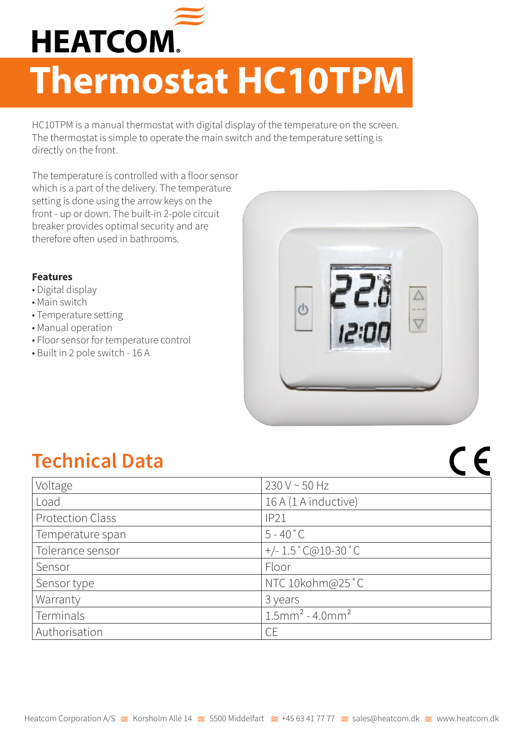

## **Thermostat HC10TPM**

HC10TPM is a manual thermostat with digital display of the temperature on the screen. The thermostat is simple to operate the main switch and the temperature setting is directly on the front.

The temperature is controlled with a floor sensor which is a part of the delivery. The temperature setting is done using the arrow keys on the front - up or down. The built-in 2-pole circuit breaker provides optimal security and are therefore often used in bathrooms.

## **Features**

- Digital display
- Main switch
- Temperature setting
- Manual operation
- Floor sensor for temperature control
- Built in 2 pole switch 16 A



 $C \in$ 

## **Technical Data**

| Voltage                 | 230 V ~ 50 Hz                              |
|-------------------------|--------------------------------------------|
| Load                    | 16 A (1 A inductive)                       |
| <b>Protection Class</b> | IP21                                       |
| Temperature span        | $5 - 40^{\circ}$ C                         |
| Tolerance sensor        | $+/- 1.5 \degree$ C@10-30 $\degree$ C      |
| Sensor                  | Floor                                      |
| Sensor type             | NTC 10kohm@25°C                            |
| Warranty                | 3 years                                    |
| Terminals               | $1.5$ mm <sup>2</sup> - 4.0mm <sup>2</sup> |
| Authorisation           | <b>CE</b>                                  |